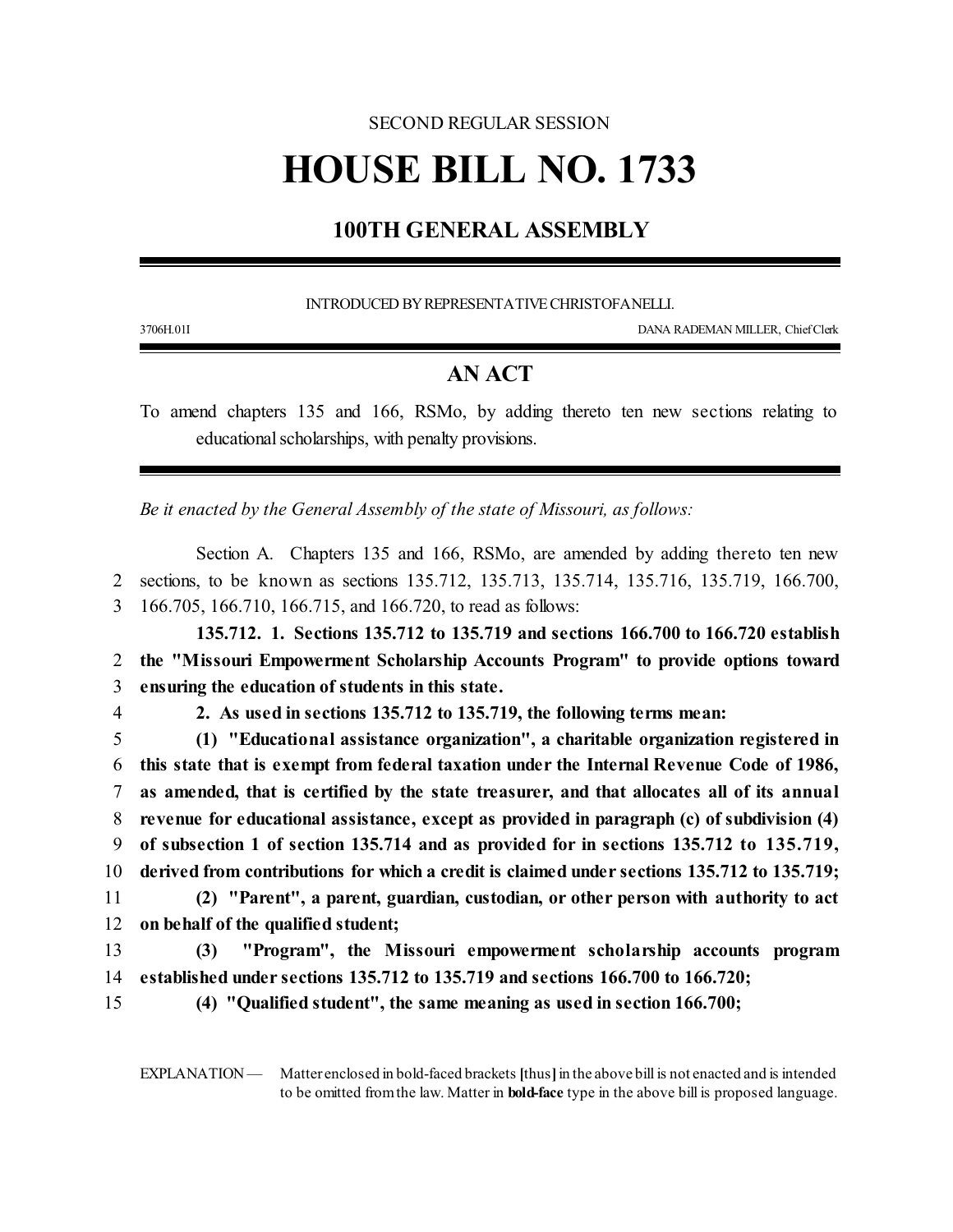## SECOND REGULAR SESSION

# **HOUSE BILL NO. 1733**

### **100TH GENERAL ASSEMBLY**

INTRODUCED BY REPRESENTATIVE CHRISTOFANELLI.

3706H.01I DANA RADEMAN MILLER, ChiefClerk

### **AN ACT**

To amend chapters 135 and 166, RSMo, by adding thereto ten new sections relating to educational scholarships, with penalty provisions.

*Be it enacted by the General Assembly of the state of Missouri, as follows:*

Section A. Chapters 135 and 166, RSMo, are amended by adding thereto ten new 2 sections, to be known as sections 135.712, 135.713, 135.714, 135.716, 135.719, 166.700, 3 166.705, 166.710, 166.715, and 166.720, to read as follows:

**135.712. 1. Sections 135.712 to 135.719 and sections 166.700 to 166.720 establish** 2 **the "Missouri Empowerment Scholarship Accounts Program" to provide options toward** 3 **ensuring the education of students in this state.**

4 **2. As used in sections 135.712 to 135.719, the following terms mean:**

 **(1) "Educational assistance organization", a charitable organization registered in this state that is exempt from federal taxation under the Internal Revenue Code of 1986, as amended, that is certified by the state treasurer, and that allocates all of its annual revenue for educational assistance, except as provided in paragraph (c) of subdivision (4) of subsection 1 of section 135.714 and as provided for in sections 135.712 to 135.719, derived from contributions for which a credit is claimed under sections 135.712 to 135.719; (2) "Parent", a parent, guardian, custodian, or other person with authority to act on behalf of the qualified student;**

13 **(3) "Program", the Missouri empowerment scholarship accounts program** 14 **established under sections 135.712 to 135.719 and sections 166.700 to 166.720;**

- 
- 15 **(4) "Qualified student", the same meaning as used in section 166.700;**

EXPLANATION — Matter enclosed in bold-faced brackets [thus] in the above bill is not enacted and is intended to be omitted fromthe law. Matter in **bold-face** type in the above bill is proposed language.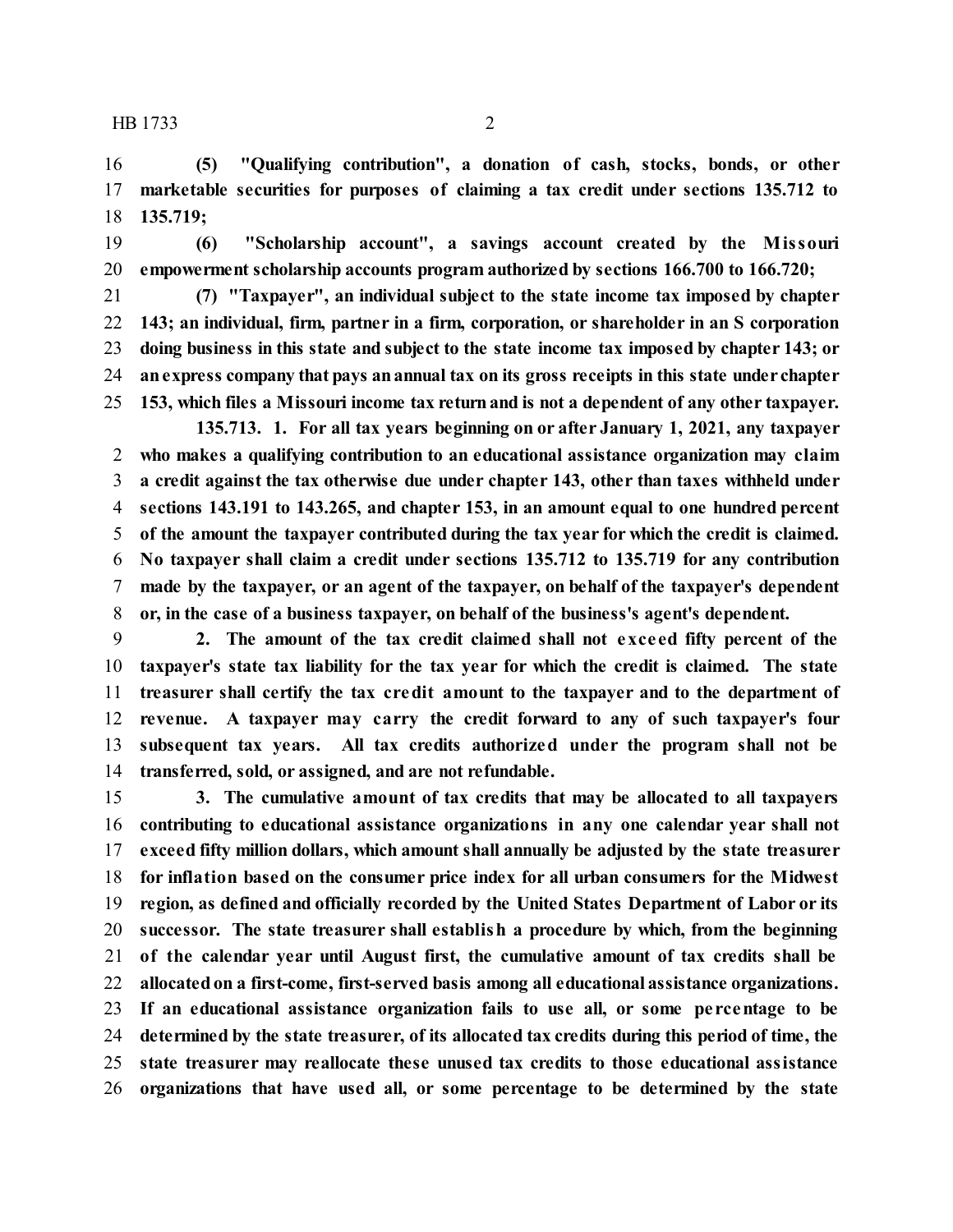**(5) "Qualifying contribution", a donation of cash, stocks, bonds, or other marketable securities for purposes of claiming a tax credit under sections 135.712 to 135.719;**

 **(6) "Scholarship account", a savings account created by the Missouri empowerment scholarship accounts program authorized by sections 166.700 to 166.720;**

 **(7) "Taxpayer", an individual subject to the state income tax imposed by chapter 143; an individual, firm, partner in a firm, corporation, or shareholder in an S corporation doing business in this state and subject to the state income tax imposed by chapter 143; or anexpress company that pays anannual tax on its gross receipts in this state under chapter 153, which files a Missouri income tax returnand is not a dependent of any other taxpayer.**

**135.713. 1. For all tax years beginning on or after January 1, 2021, any taxpayer who makes a qualifying contribution to an educational assistance organization may claim a credit against the tax otherwise due under chapter 143, other than taxes withheld under sections 143.191 to 143.265, and chapter 153, in an amount equal to one hundred percent of the amount the taxpayer contributed during the tax year for which the credit is claimed. No taxpayer shall claim a credit under sections 135.712 to 135.719 for any contribution made by the taxpayer, or an agent of the taxpayer, on behalf of the taxpayer's dependent or, in the case of a business taxpayer, on behalf of the business's agent's dependent.**

 **2. The amount of the tax credit claimed shall not exce ed fifty percent of the taxpayer's state tax liability for the tax year for which the credit is claimed. The state treasurer shall certify the tax credit amount to the taxpayer and to the department of revenue. A taxpayer may carry the credit forward to any of such taxpayer's four subsequent tax years. All tax credits authorized under the program shall not be transferred, sold, or assigned, and are not refundable.**

 **3. The cumulative amount of tax credits that may be allocated to all taxpayers contributing to educational assistance organizations in any one calendar year shall not exceed fifty million dollars, which amount shall annually be adjusted by the state treasurer for inflation based on the consumer price index for all urban consumers for the Midwest region, as defined and officially recorded by the United States Department of Labor or its successor. The state treasurer shall establish a procedure by which, from the beginning of the calendar year until August first, the cumulative amount of tax credits shall be allocatedon a first-come, first-served basis among all educational assistance organizations. If an educational assistance organization fails to use all, or some pe rcentage to be determined by the state treasurer, of its allocated tax credits during this period of time, the state treasurer may reallocate these unused tax credits to those educational assistance organizations that have used all, or some percentage to be determined by the state**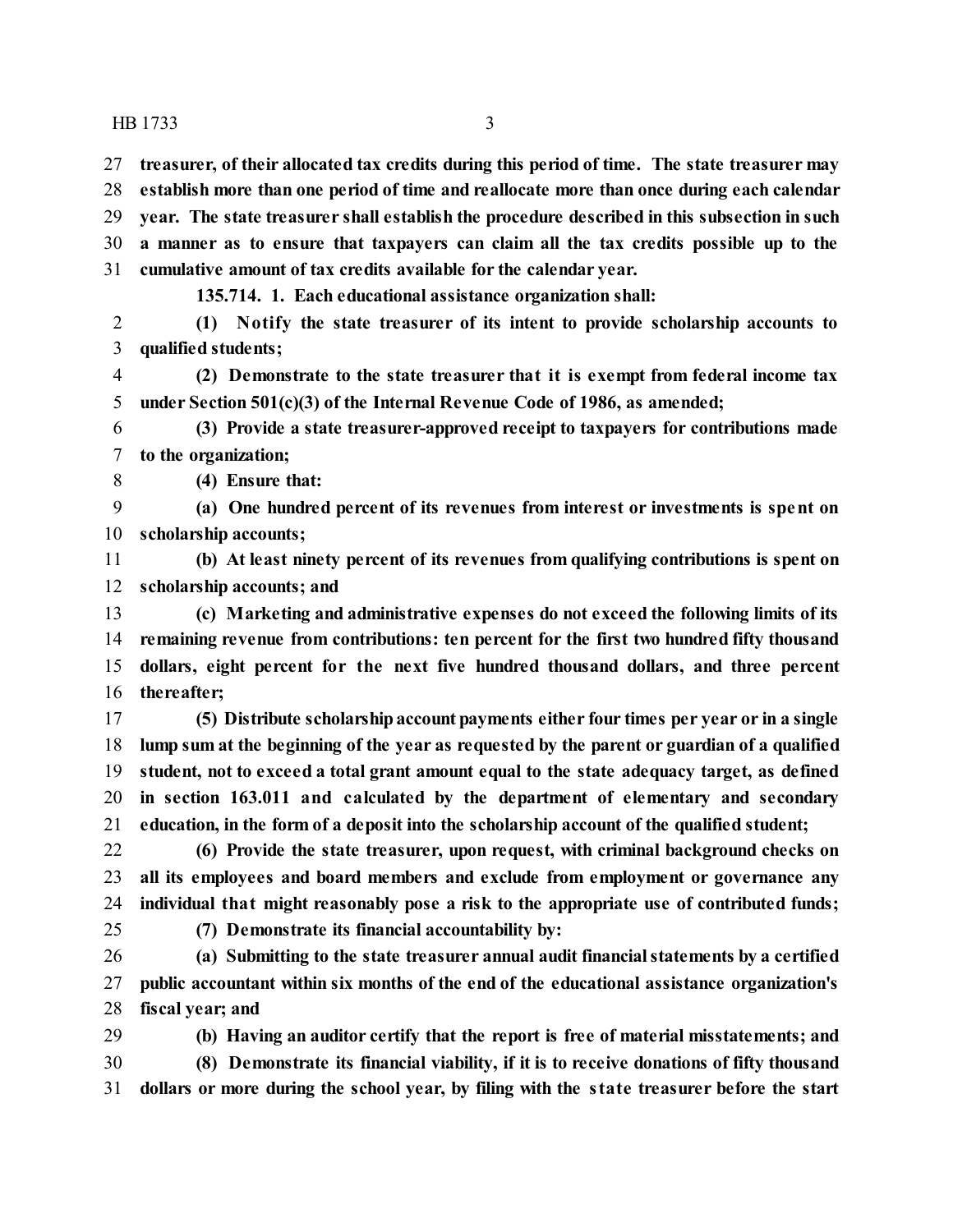**treasurer, of their allocated tax credits during this period of time. The state treasurer may establish more than one period of time and reallocate more than once during each calendar year. The state treasurer shall establish the procedure described in this subsection in such a manner as to ensure that taxpayers can claim all the tax credits possible up to the cumulative amount of tax credits available for the calendar year.**

**135.714. 1. Each educational assistance organization shall:**

 **(1) Notify the state treasurer of its intent to provide scholarship accounts to qualified students;**

 **(2) Demonstrate to the state treasurer that it is exempt from federal income tax under Section 501(c)(3) of the Internal Revenue Code of 1986, as amended;**

 **(3) Provide a state treasurer-approved receipt to taxpayers for contributions made to the organization;**

**(4) Ensure that:**

 **(a) One hundred percent of its revenues from interest or investments is spent on scholarship accounts;**

 **(b) At least ninety percent of its revenues from qualifying contributions is spent on scholarship accounts; and**

 **(c) Marketing and administrative expenses do not exceed the following limits of its remaining revenue from contributions: ten percent for the first two hundred fifty thousand dollars, eight percent for the next five hundred thousand dollars, and three percent thereafter;**

 **(5) Distribute scholarshipaccount payments either four times per year or in a single lump sum at the beginning of the year as requested by the parent or guardian of a qualified student, not to exceed a total grant amount equal to the state adequacy target, as defined in section 163.011 and calculated by the department of elementary and secondary education, in the form of a deposit into the scholarship account of the qualified student;**

 **(6) Provide the state treasurer, upon request, with criminal background checks on all its employees and board members and exclude from employment or governance any individual that might reasonably pose a risk to the appropriate use of contributed funds;**

**(7) Demonstrate its financial accountability by:**

 **(a) Submitting to the state treasurer annual audit financialstatements by a certified public accountant within six months of the end of the educational assistance organization's fiscal year; and**

 **(b) Having an auditor certify that the report is free of material misstatements; and (8) Demonstrate its financial viability, if it is to receive donations of fifty thousand dollars or more during the school year, by filing with the state treasurer before the start**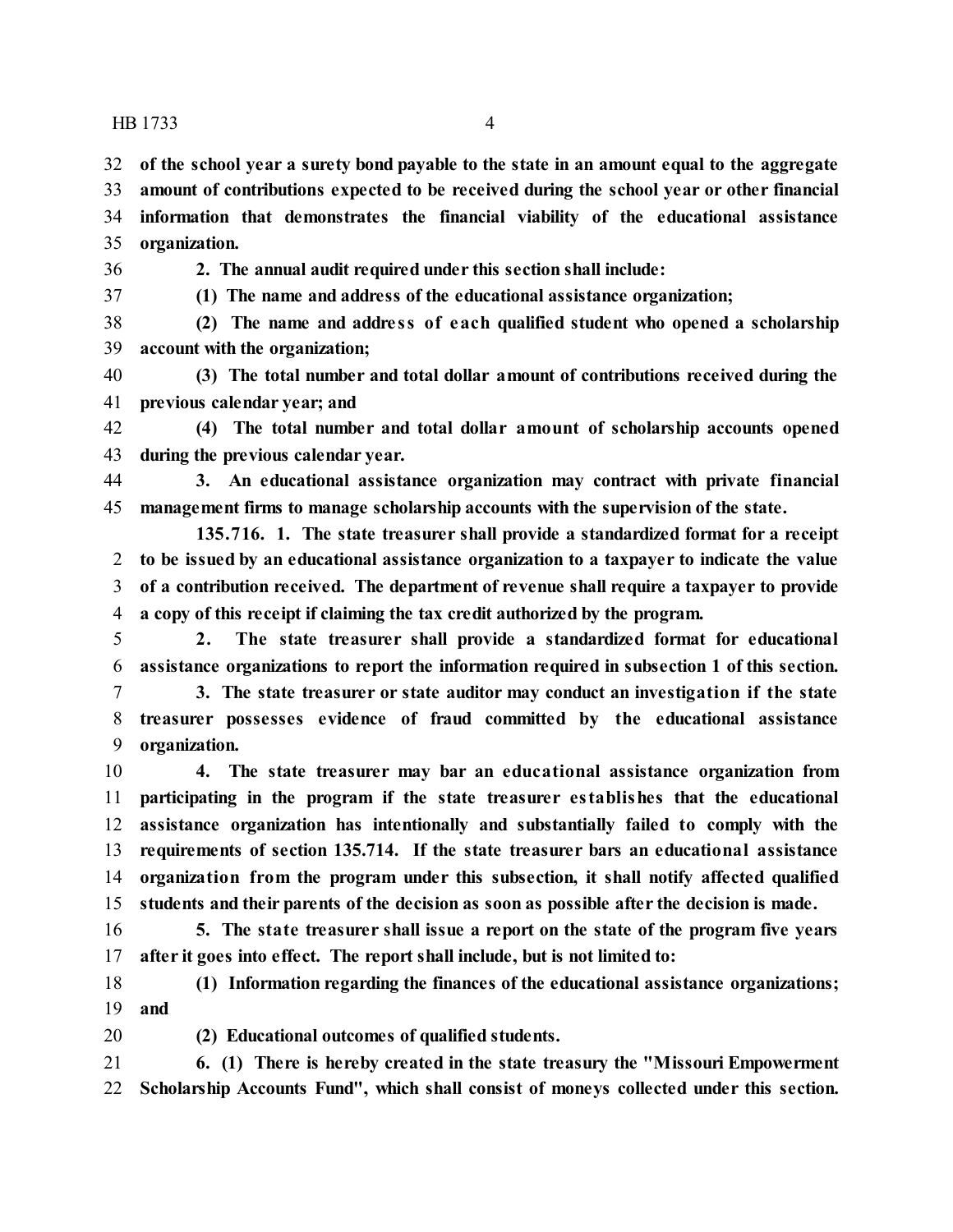**of the school year a surety bond payable to the state in an amount equal to the aggregate**

 **amount of contributions expected to be received during the school year or other financial information that demonstrates the financial viability of the educational assistance organization.**

**2. The annual audit required under this section shall include:**

**(1) The name and address of the educational assistance organization;**

 **(2) The name and addre ss of each qualified student who opened a scholarship account with the organization;**

 **(3) The total number and total dollar amount of contributions received during the previous calendar year; and**

 **(4) The total number and total dollar amount of scholarship accounts opened during the previous calendar year.**

 **3. An educational assistance organization may contract with private financial management firms to manage scholarship accounts with the supervision of the state.**

**135.716. 1. The state treasurer shall provide a standardized format for a receipt to be issued by an educational assistance organization to a taxpayer to indicate the value of a contribution received. The department of revenue shall require a taxpayer to provide a copy of this receipt if claiming the tax credit authorized by the program.**

 **2. The state treasurer shall provide a standardized format for educational assistance organizations to report the information required in subsection 1 of this section.**

 **3. The state treasurer or state auditor may conduct an investigation if the state treasurer possesses evidence of fraud committed by the educational assistance organization.**

 **4. The state treasurer may bar an educational assistance organization from participating in the program if the state treasurer establishes that the educational assistance organization has intentionally and substantially failed to comply with the requirements of section 135.714. If the state treasurer bars an educational assistance organization from the program under this subsection, it shall notify affected qualified students and their parents of the decision as soon as possible after the decision is made.**

 **5. The state treasurer shall issue a report on the state of the program five years after it goes into effect. The report shall include, but is not limited to:**

 **(1) Information regarding the finances of the educational assistance organizations; and**

**(2) Educational outcomes of qualified students.**

 **6. (1) There is hereby created in the state treasury the "Missouri Empowerment Scholarship Accounts Fund", which shall consist of moneys collected under this section.**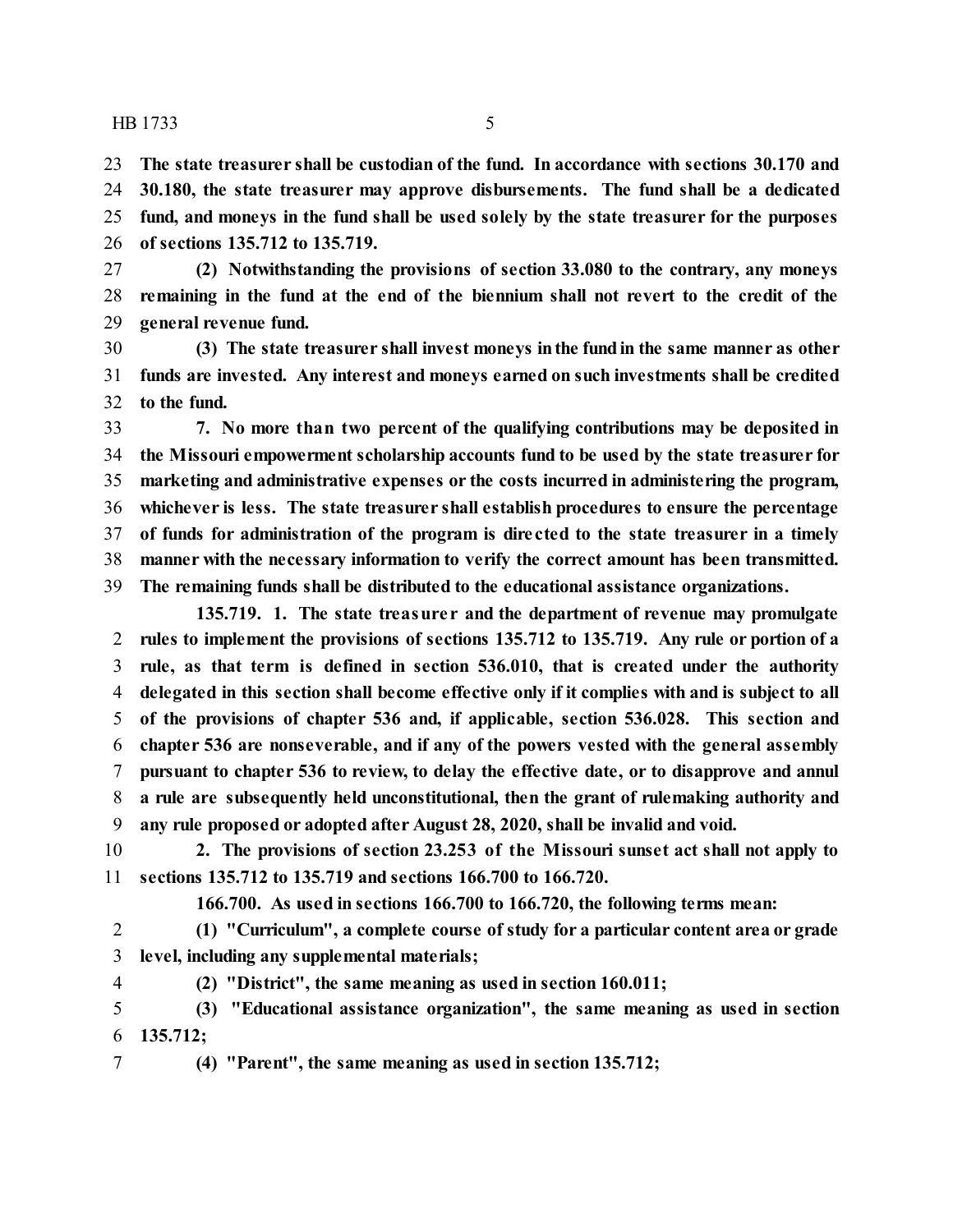**The state treasurer shall be custodian of the fund. In accordance with sections 30.170 and 30.180, the state treasurer may approve disbursements. The fund shall be a dedicated fund, and moneys in the fund shall be used solely by the state treasurer for the purposes of sections 135.712 to 135.719.**

 **(2) Notwithstanding the provisions of section 33.080 to the contrary, any moneys remaining in the fund at the end of the biennium shall not revert to the credit of the general revenue fund.**

 **(3) The state treasurer shall invest moneys inthe fundin the same manner as other funds are invested. Any interest and moneys earned on such investments shall be credited to the fund.**

 **7. No more than two percent of the qualifying contributions may be deposited in the Missouri empowerment scholarship accounts fund to be used by the state treasurer for marketing and administrative expenses or the costs incurred in administering the program, whichever is less. The state treasurer shall establish procedures to ensure the percentage of funds for administration of the program is dire cted to the state treasurer in a timely manner with the necessary information to verify the correct amount has been transmitted. The remaining funds shall be distributed to the educational assistance organizations.**

**135.719. 1. The state treasure r and the department of revenue may promulgate rules to implement the provisions of sections 135.712 to 135.719. Any rule or portion of a rule, as that term is defined in section 536.010, that is created under the authority delegated in this section shall become effective only if it complies with and is subject to all of the provisions of chapter 536 and, if applicable, section 536.028. This section and chapter 536 are nonseverable, and if any of the powers vested with the general assembly pursuant to chapter 536 to review, to delay the effective date, or to disapprove and annul a rule are subsequently held unconstitutional, then the grant of rulemaking authority and any rule proposed or adopted after August 28, 2020, shall be invalid and void.**

 **2. The provisions of section 23.253 of the Missouri sunset act shall not apply to sections 135.712 to 135.719 and sections 166.700 to 166.720.**

**166.700. As used in sections 166.700 to 166.720, the following terms mean:**

 **(1) "Curriculum", a complete course of study for a particular content area or grade level, including any supplemental materials;**

**(2) "District", the same meaning as used in section 160.011;**

 **(3) "Educational assistance organization", the same meaning as used in section 135.712;**

**(4) "Parent", the same meaning as used in section 135.712;**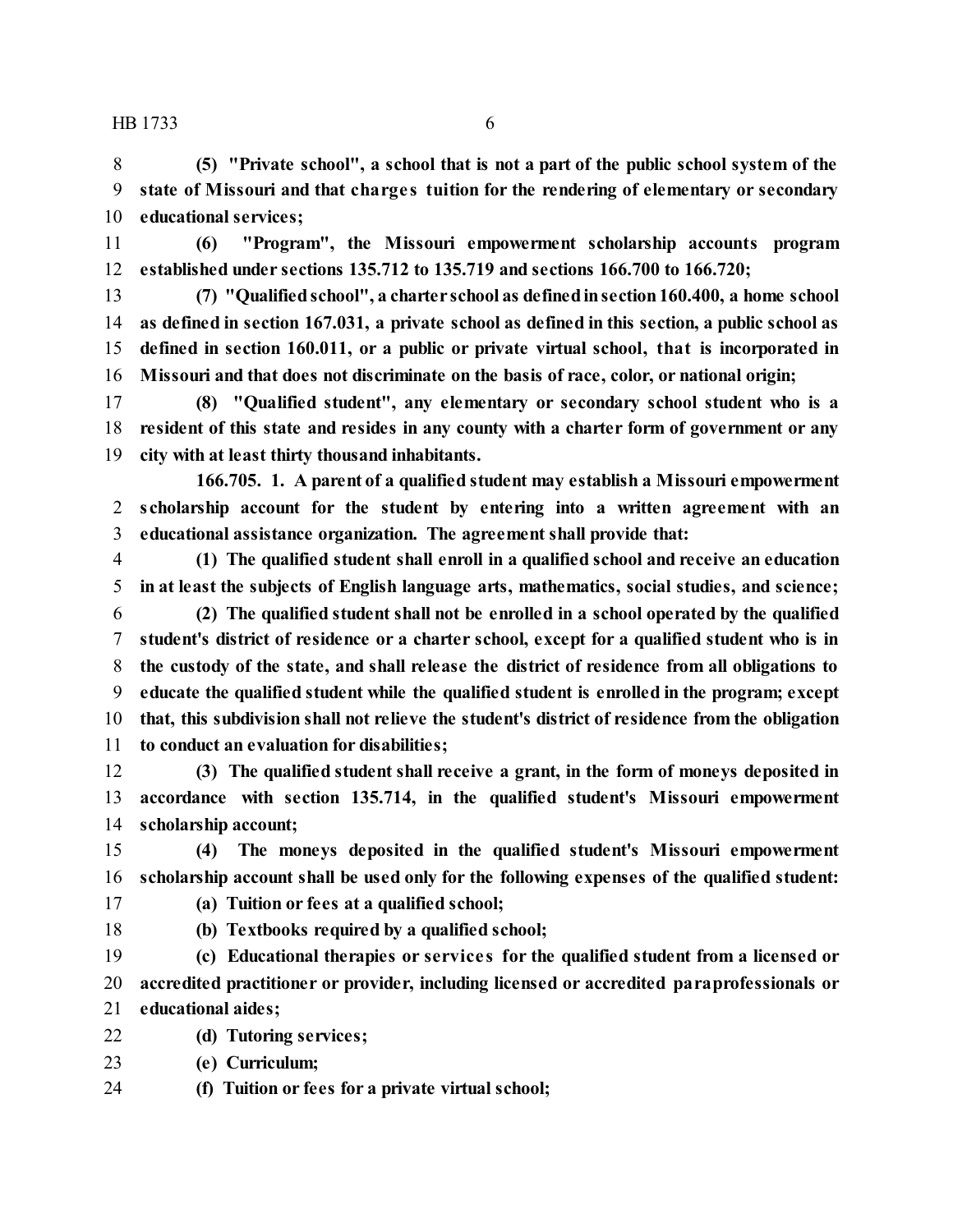**(5) "Private school", a school that is not a part of the public school system of the state of Missouri and that charge s tuition for the rendering of elementary or secondary educational services;**

 **(6) "Program", the Missouri empowerment scholarship accounts program established under sections 135.712 to 135.719 and sections 166.700 to 166.720;**

 **(7) "Qualifiedschool", a charter school as definedinsection160.400, a home school as defined in section 167.031, a private school as defined in this section, a public school as defined in section 160.011, or a public or private virtual school, that is incorporated in Missouri and that does not discriminate on the basis of race, color, or national origin;**

 **(8) "Qualified student", any elementary or secondary school student who is a resident of this state and resides in any county with a charter form of government or any city with at least thirty thousand inhabitants.**

**166.705. 1. A parent of a qualified student may establish a Missouri empowerment scholarship account for the student by entering into a written agreement with an educational assistance organization. The agreement shall provide that:**

- **(1) The qualified student shall enroll in a qualified school and receive an education in at least the subjects of English language arts, mathematics, social studies, and science;**
- **(2) The qualified student shall not be enrolled in a school operated by the qualified student's district of residence or a charter school, except for a qualified student who is in the custody of the state, and shall release the district of residence from all obligations to educate the qualified student while the qualified student is enrolled in the program; except that, this subdivision shall not relieve the student's district of residence from the obligation to conduct an evaluation for disabilities;**

 **(3) The qualified student shall receive a grant, in the form of moneys deposited in accordance with section 135.714, in the qualified student's Missouri empowerment scholarship account;**

 **(4) The moneys deposited in the qualified student's Missouri empowerment scholarship account shall be used only for the following expenses of the qualified student:**

- **(a) Tuition or fees at a qualified school;**
- 
- **(b) Textbooks required by a qualified school;**

 **(c) Educational therapies or service s for the qualified student from a licensed or accredited practitioner or provider, including licensed or accredited paraprofessionals or educational aides;**

- **(d) Tutoring services;**
- **(e) Curriculum;**
- **(f) Tuition or fees for a private virtual school;**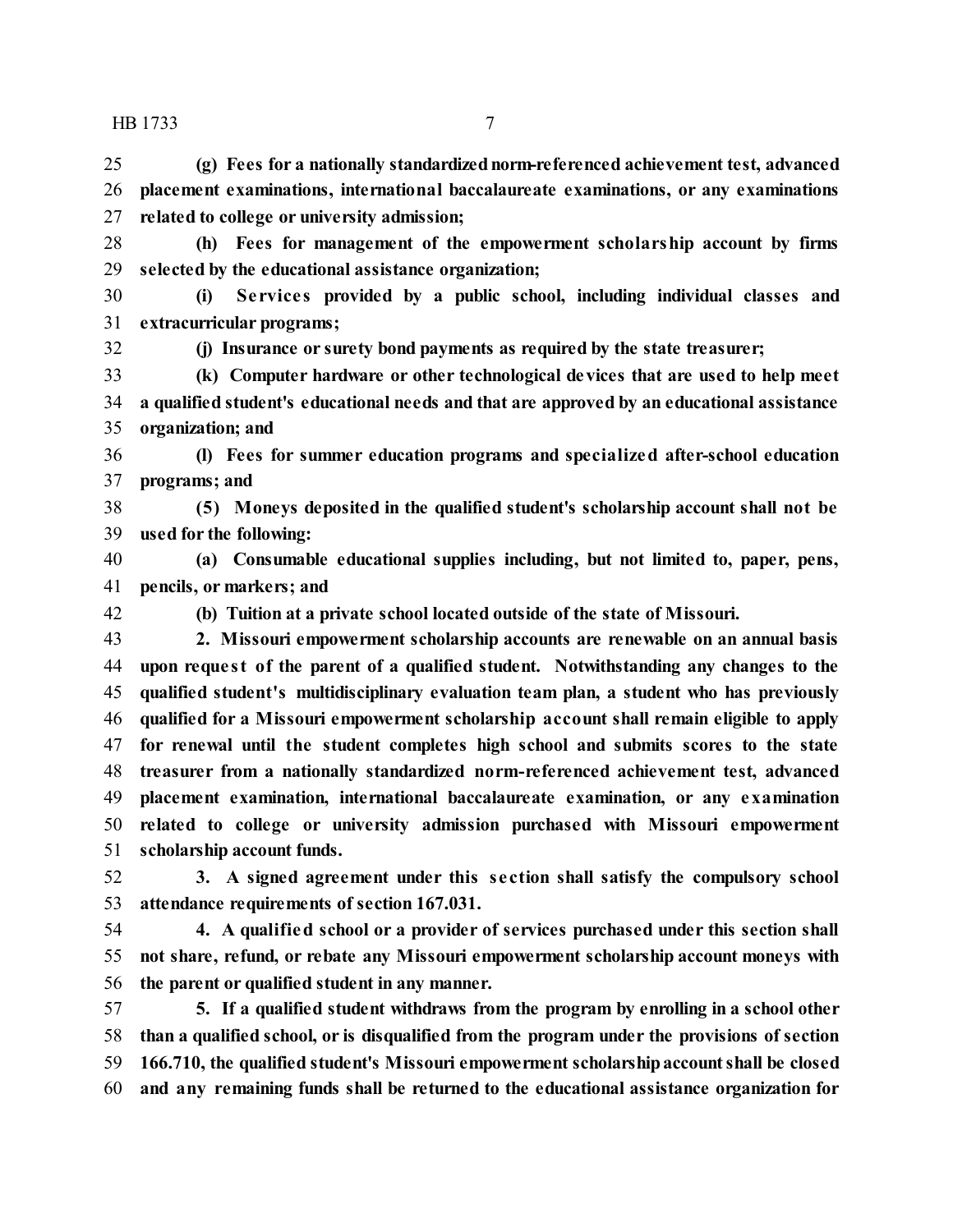**(g) Fees for a nationally standardizednorm-referenced achievement test, advanced placement examinations, international baccalaureate examinations, or any examinations related to college or university admission;**

 **(h) Fees for management of the empowerment scholarship account by firms selected by the educational assistance organization;**

 **(i) Se rvice s provided by a public school, including individual classes and extracurricular programs;**

**(j) Insurance or surety bond payments as required by the state treasurer;**

 **(k) Computer hardware or other technological devices that are used to help meet a qualified student's educational needs and that are approved by an educational assistance organization; and**

 **(l) Fees for summer education programs and specialized after-school education programs; and**

 **(5) Moneys deposited in the qualified student's scholarship account shall not be used for the following:**

 **(a) Consumable educational supplies including, but not limited to, paper, pens, pencils, or markers; and**

**(b) Tuition at a private school located outside of the state of Missouri.**

 **2. Missouri empowerment scholarship accounts are renewable on an annual basis upon reque st of the parent of a qualified student. Notwithstanding any changes to the qualified student's multidisciplinary evaluation team plan, a student who has previously qualified for a Missouri empowerment scholarship account shall remain eligible to apply for renewal until the student completes high school and submits scores to the state treasurer from a nationally standardized norm-referenced achievement test, advanced placement examination, international baccalaureate examination, or any examination related to college or university admission purchased with Missouri empowerment scholarship account funds.**

 **3. A signed agreement under this se ction shall satisfy the compulsory school attendance requirements of section 167.031.**

 **4. A qualified school or a provider of services purchased under this section shall not share, refund, or rebate any Missouri empowerment scholarship account moneys with the parent or qualified student in any manner.**

 **5. If a qualified student withdraws from the program by enrolling in a school other than a qualified school, or is disqualified from the program under the provisions of section 166.710, the qualified student's Missouri empowerment scholarshipaccountshall be closed and any remaining funds shall be returned to the educational assistance organization for**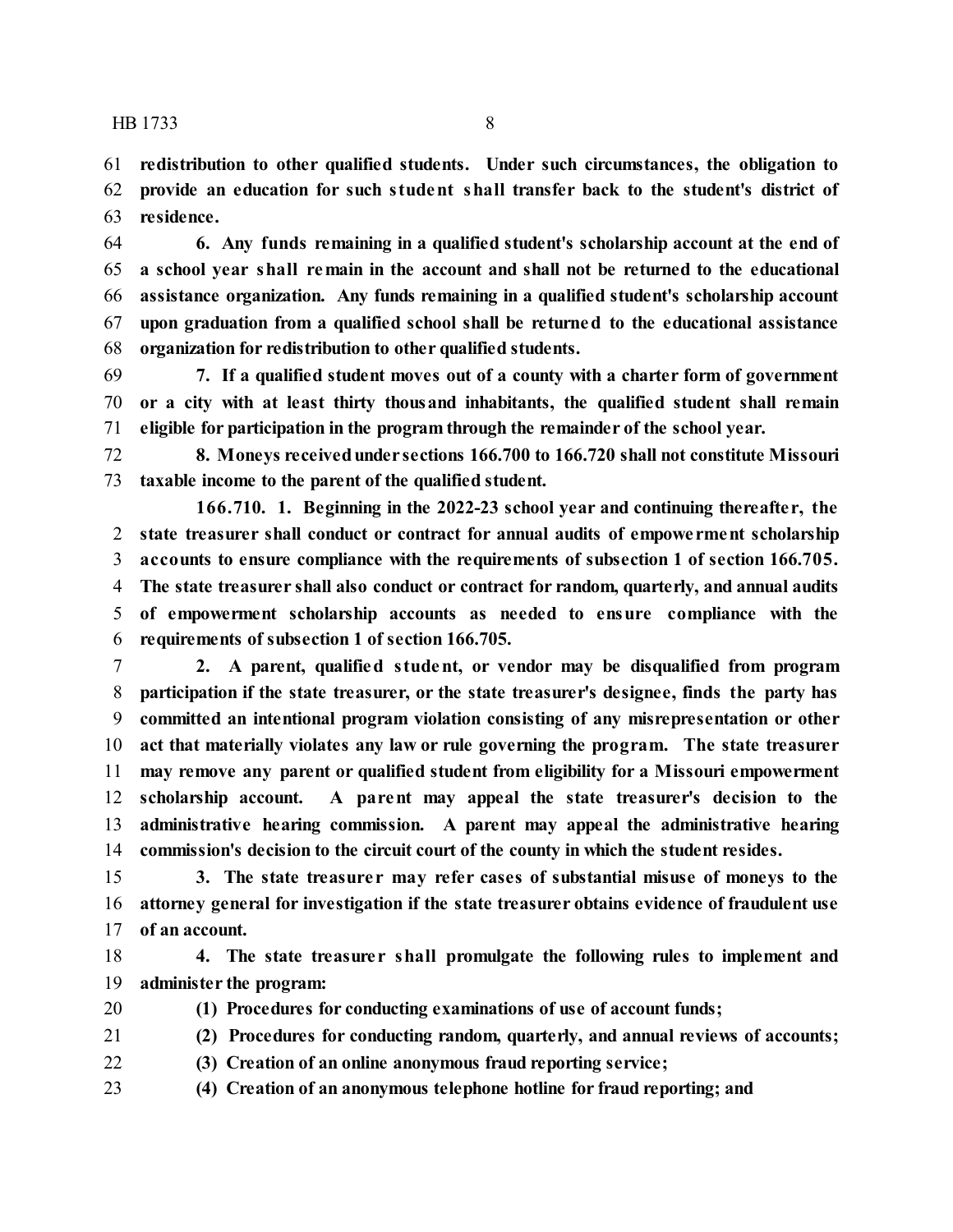**redistribution to other qualified students. Under such circumstances, the obligation to provide an education for such student shall transfer back to the student's district of residence.**

 **6. Any funds remaining in a qualified student's scholarship account at the end of a school year shall remain in the account and shall not be returned to the educational assistance organization. Any funds remaining in a qualified student's scholarship account upon graduation from a qualified school shall be returned to the educational assistance organization for redistribution to other qualified students.**

 **7. If a qualified student moves out of a county with a charter form of government or a city with at least thirty thousand inhabitants, the qualified student shall remain eligible for participation in the program through the remainder of the school year.**

 **8. Moneys receivedunder sections 166.700 to 166.720 shall not constitute Missouri taxable income to the parent of the qualified student.**

**166.710. 1. Beginning in the 2022-23 school year and continuing thereafte r, the state treasurer shall conduct or contract for annual audits of empowe rment scholarship accounts to ensure compliance with the requirements of subsection 1 of section 166.705. The state treasurer shall also conduct or contract for random, quarterly, and annual audits of empowerment scholarship accounts as needed to ensure compliance with the requirements of subsection 1 of section 166.705.**

 **2. A parent, qualified student, or vendor may be disqualified from program participation if the state treasurer, or the state treasurer's designee, finds the party has committed an intentional program violation consisting of any misrepresentation or other act that materially violates any law or rule governing the program. The state treasurer may remove any parent or qualified student from eligibility for a Missouri empowerment scholarship account. A parent may appeal the state treasurer's decision to the administrative hearing commission. A parent may appeal the administrative hearing commission's decision to the circuit court of the county in which the student resides.**

 **3. The state treasure r may refer cases of substantial misuse of moneys to the attorney general for investigation if the state treasurer obtains evidence of fraudulent use of an account.**

 **4. The state treasure r shall promulgate the following rules to implement and administer the program:**

**(1) Procedures for conducting examinations of use of account funds;**

**(2) Procedures for conducting random, quarterly, and annual reviews of accounts;**

**(3) Creation of an online anonymous fraud reporting service;**

**(4) Creation of an anonymous telephone hotline for fraud reporting; and**